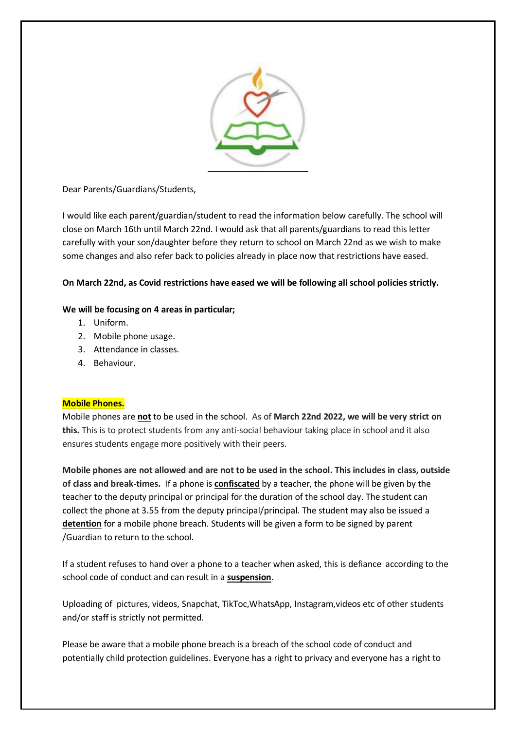

Dear Parents/Guardians/Students,

I would like each parent/guardian/student to read the information below carefully. The school will close on March 16th until March 22nd. I would ask that all parents/guardians to read this letter carefully with your son/daughter before they return to school on March 22nd as we wish to make some changes and also refer back to policies already in place now that restrictions have eased.

# **On March 22nd, as Covid restrictions have eased we will be following all school policies strictly.**

## **We will be focusing on 4 areas in particular;**

- 1. Uniform.
- 2. Mobile phone usage.
- 3. Attendance in classes.
- 4. Behaviour.

## **Mobile Phones.**

Mobile phones are **not** to be used in the school. As of **March 22nd 2022, we will be very strict on this.** This is to protect students from any anti-social behaviour taking place in school and it also ensures students engage more positively with their peers.

**Mobile phones are not allowed and are not to be used in the school. This includes in class, outside of class and break-times.** If a phone is **confiscated** by a teacher, the phone will be given by the teacher to the deputy principal or principal for the duration of the school day. The student can collect the phone at 3.55 from the deputy principal/principal. The student may also be issued a **detention** for a mobile phone breach. Students will be given a form to be signed by parent /Guardian to return to the school.

If a student refuses to hand over a phone to a teacher when asked, this is defiance according to the school code of conduct and can result in a **suspension**.

Uploading of pictures, videos, Snapchat, TikToc,WhatsApp, Instagram,videos etc of other students and/or staff is strictly not permitted.

Please be aware that a mobile phone breach is a breach of the school code of conduct and potentially child protection guidelines. Everyone has a right to privacy and everyone has a right to